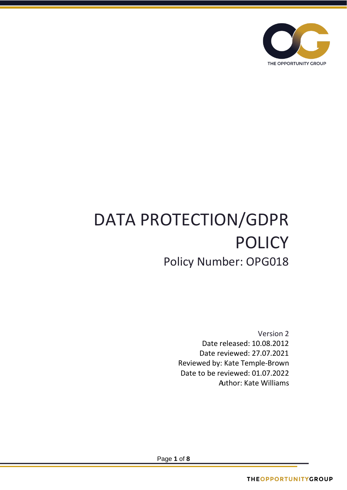

# DATA PROTECTION/GDPR POLICY Policy Number: OPG018

Version 2 Date released: 10.08.2012 Date reviewed: 27.07.2021 Reviewed by: Kate Temple-Brown Date to be reviewed: 01.07.2022 Author: Kate Williams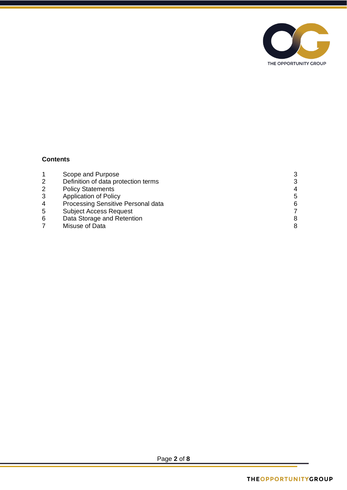

# **Contents**

|                | Scope and Purpose                   | 3 |
|----------------|-------------------------------------|---|
| 2              | Definition of data protection terms | 3 |
| 2              | <b>Policy Statements</b>            | 4 |
| 3              | <b>Application of Policy</b>        | 5 |
| $\overline{4}$ | Processing Sensitive Personal data  | 6 |
| 5              | <b>Subject Access Request</b>       |   |
| 6              | Data Storage and Retention          |   |
|                | Misuse of Data                      |   |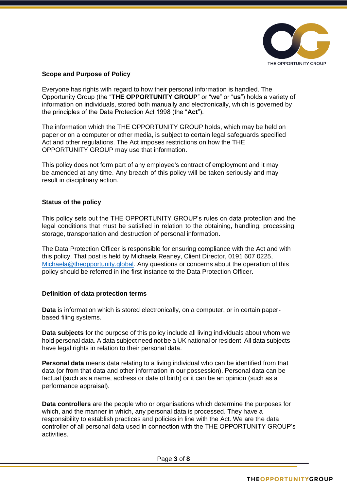

## **Scope and Purpose of Policy**

Everyone has rights with regard to how their personal information is handled. The Opportunity Group (the "**THE OPPORTUNITY GROUP**" or "**we**" or "**us**") holds a variety of information on individuals, stored both manually and electronically, which is governed by the principles of the Data Protection Act 1998 (the "**Act**").

The information which the THE OPPORTUNITY GROUP holds, which may be held on paper or on a computer or other media, is subject to certain legal safeguards specified Act and other regulations. The Act imposes restrictions on how the THE OPPORTUNITY GROUP may use that information.

This policy does not form part of any employee's contract of employment and it may be amended at any time. Any breach of this policy will be taken seriously and may result in disciplinary action.

## **Status of the policy**

This policy sets out the THE OPPORTUNITY GROUP's rules on data protection and the legal conditions that must be satisfied in relation to the obtaining, handling, processing, storage, transportation and destruction of personal information.

The Data Protection Officer is responsible for ensuring compliance with the Act and with this policy. That post is held by Michaela Reaney, Client Director, 0191 607 0225, [Michaela@theopportunity.global.](mailto:Michaela@theopportunity.global) Any questions or concerns about the operation of this policy should be referred in the first instance to the Data Protection Officer.

## **Definition of data protection terms**

**Data** is information which is stored electronically, on a computer, or in certain paperbased filing systems.

**Data subjects** for the purpose of this policy include all living individuals about whom we hold personal data. A data subject need not be a UK national or resident. All data subjects have legal rights in relation to their personal data.

**Personal data** means data relating to a living individual who can be identified from that data (or from that data and other information in our possession). Personal data can be factual (such as a name, address or date of birth) or it can be an opinion (such as a performance appraisal).

**Data controllers** are the people who or organisations which determine the purposes for which, and the manner in which, any personal data is processed. They have a responsibility to establish practices and policies in line with the Act. We are the data controller of all personal data used in connection with the THE OPPORTUNITY GROUP's activities.

Page **3** of **8**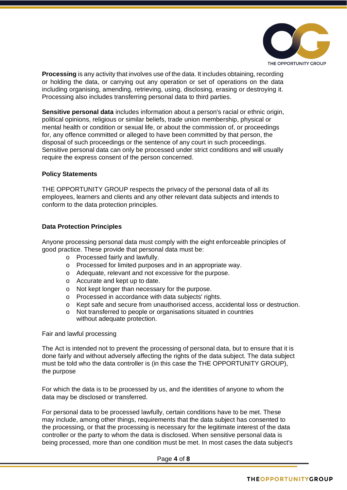

**Processing** is any activity that involves use of the data. It includes obtaining, recording or holding the data, or carrying out any operation or set of operations on the data including organising, amending, retrieving, using, disclosing, erasing or destroying it. Processing also includes transferring personal data to third parties.

**Sensitive personal data** includes information about a person's racial or ethnic origin, political opinions, religious or similar beliefs, trade union membership, physical or mental health or condition or sexual life, or about the commission of, or proceedings for, any offence committed or alleged to have been committed by that person, the disposal of such proceedings or the sentence of any court in such proceedings. Sensitive personal data can only be processed under strict conditions and will usually require the express consent of the person concerned.

#### **Policy Statements**

THE OPPORTUNITY GROUP respects the privacy of the personal data of all its employees, learners and clients and any other relevant data subjects and intends to conform to the data protection principles.

#### **Data Protection Principles**

Anyone processing personal data must comply with the eight enforceable principles of good practice. These provide that personal data must be:

- o Processed fairly and lawfully.
- o Processed for limited purposes and in an appropriate way.
- o Adequate, relevant and not excessive for the purpose.
- o Accurate and kept up to date.
- o Not kept longer than necessary for the purpose.
- o Processed in accordance with data subjects' rights.
- o Kept safe and secure from unauthorised access, accidental loss or destruction.
- o Not transferred to people or organisations situated in countries without adequate protection.

#### Fair and lawful processing

The Act is intended not to prevent the processing of personal data, but to ensure that it is done fairly and without adversely affecting the rights of the data subject. The data subject must be told who the data controller is (in this case the THE OPPORTUNITY GROUP), the purpose

For which the data is to be processed by us, and the identities of anyone to whom the data may be disclosed or transferred.

For personal data to be processed lawfully, certain conditions have to be met. These may include, among other things, requirements that the data subject has consented to the processing, or that the processing is necessary for the legitimate interest of the data controller or the party to whom the data is disclosed. When sensitive personal data is being processed, more than one condition must be met. In most cases the data subject's

Page **4** of **8**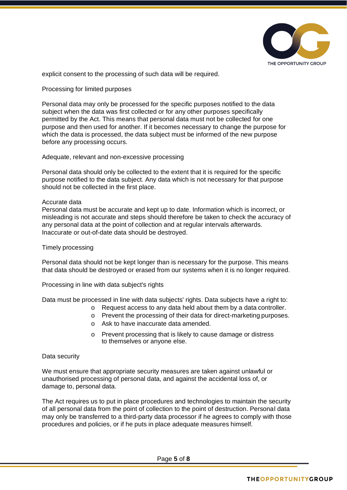

explicit consent to the processing of such data will be required.

Processing for limited purposes

Personal data may only be processed for the specific purposes notified to the data subject when the data was first collected or for any other purposes specifically permitted by the Act. This means that personal data must not be collected for one purpose and then used for another. If it becomes necessary to change the purpose for which the data is processed, the data subject must be informed of the new purpose before any processing occurs.

Adequate, relevant and non-excessive processing

Personal data should only be collected to the extent that it is required for the specific purpose notified to the data subject. Any data which is not necessary for that purpose should not be collected in the first place.

#### Accurate data

Personal data must be accurate and kept up to date. Information which is incorrect, or misleading is not accurate and steps should therefore be taken to check the accuracy of any personal data at the point of collection and at regular intervals afterwards. Inaccurate or out-of-date data should be destroyed.

#### Timely processing

Personal data should not be kept longer than is necessary for the purpose. This means that data should be destroyed or erased from our systems when it is no longer required.

Processing in line with data subject's rights

Data must be processed in line with data subjects' rights. Data subjects have a right to:

- o Request access to any data held about them by a data controller.
- o Prevent the processing of their data for direct-marketing purposes.
- o Ask to have inaccurate data amended.
- o Prevent processing that is likely to cause damage or distress to themselves or anyone else.

#### Data security

We must ensure that appropriate security measures are taken against unlawful or unauthorised processing of personal data, and against the accidental loss of, or damage to, personal data.

The Act requires us to put in place procedures and technologies to maintain the security of all personal data from the point of collection to the point of destruction. Personal data may only be transferred to a third-party data processor if he agrees to comply with those procedures and policies, or if he puts in place adequate measures himself.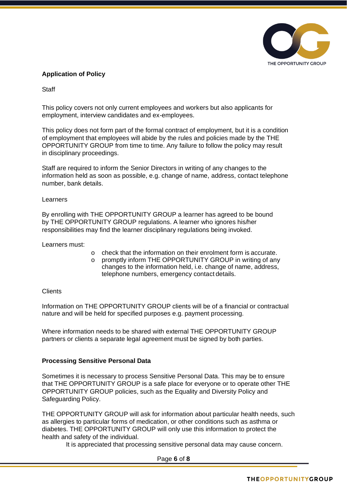

# **Application of Policy**

**Staff** 

This policy covers not only current employees and workers but also applicants for employment, interview candidates and ex-employees.

This policy does not form part of the formal contract of employment, but it is a condition of employment that employees will abide by the rules and policies made by the THE OPPORTUNITY GROUP from time to time. Any failure to follow the policy may result in disciplinary proceedings.

Staff are required to inform the Senior Directors in writing of any changes to the information held as soon as possible, e.g. change of name, address, contact telephone number, bank details.

#### Learners

By enrolling with THE OPPORTUNITY GROUP a learner has agreed to be bound by THE OPPORTUNITY GROUP regulations. A learner who ignores his/her responsibilities may find the learner disciplinary regulations being invoked.

Learners must:

- o check that the information on their enrolment form is accurate.
- o promptly inform THE OPPORTUNITY GROUP in writing of any changes to the information held, i.e. change of name, address, telephone numbers, emergency contact details.

#### Clients

Information on THE OPPORTUNITY GROUP clients will be of a financial or contractual nature and will be held for specified purposes e.g. payment processing.

Where information needs to be shared with external THE OPPORTUNITY GROUP partners or clients a separate legal agreement must be signed by both parties.

## **Processing Sensitive Personal Data**

Sometimes it is necessary to process Sensitive Personal Data. This may be to ensure that THE OPPORTUNITY GROUP is a safe place for everyone or to operate other THE OPPORTUNITY GROUP policies, such as the Equality and Diversity Policy and Safeguarding Policy.

THE OPPORTUNITY GROUP will ask for information about particular health needs, such as allergies to particular forms of medication, or other conditions such as asthma or diabetes. THE OPPORTUNITY GROUP will only use this information to protect the health and safety of the individual.

It is appreciated that processing sensitive personal data may cause concern.

Page **6** of **8**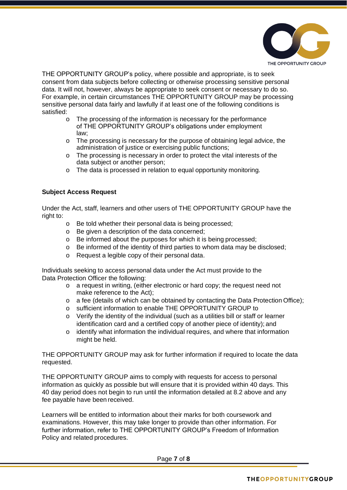

THE OPPORTUNITY GROUP's policy, where possible and appropriate, is to seek consent from data subjects before collecting or otherwise processing sensitive personal data. It will not, however, always be appropriate to seek consent or necessary to do so. For example, in certain circumstances THE OPPORTUNITY GROUP may be processing sensitive personal data fairly and lawfully if at least one of the following conditions is satisfied:

- o The processing of the information is necessary for the performance of THE OPPORTUNITY GROUP's obligations under employment law;
- o The processing is necessary for the purpose of obtaining legal advice, the administration of justice or exercising public functions;
- o The processing is necessary in order to protect the vital interests of the data subject or another person;
- o The data is processed in relation to equal opportunity monitoring.

## **Subject Access Request**

Under the Act, staff, learners and other users of THE OPPORTUNITY GROUP have the right to:

- o Be told whether their personal data is being processed;
- o Be given a description of the data concerned;
- o Be informed about the purposes for which it is being processed;
- o Be informed of the identity of third parties to whom data may be disclosed;
- o Request a legible copy of their personal data.

Individuals seeking to access personal data under the Act must provide to the Data Protection Officer the following:

- o a request in writing, (either electronic or hard copy; the request need not make reference to the Act);
- o a fee (details of which can be obtained by contacting the Data Protection Office);
- o sufficient information to enable THE OPPORTUNITY GROUP to
- o Verify the identity of the individual (such as a utilities bill or staff or learner identification card and a certified copy of another piece of identity); and
- o identify what information the individual requires, and where that information might be held.

THE OPPORTUNITY GROUP may ask for further information if required to locate the data requested.

THE OPPORTUNITY GROUP aims to comply with requests for access to personal information as quickly as possible but will ensure that it is provided within 40 days. This 40 day period does not begin to run until the information detailed at 8.2 above and any fee payable have been received.

Learners will be entitled to information about their marks for both coursework and examinations. However, this may take longer to provide than other information. For further information, refer to THE OPPORTUNITY GROUP's Freedom of Information Policy and related procedures.

Page **7** of **8**